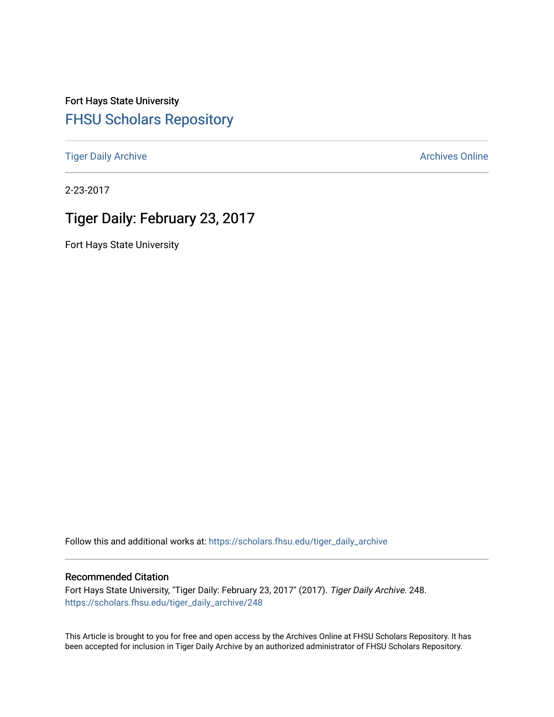Fort Hays State University [FHSU Scholars Repository](https://scholars.fhsu.edu/) 

[Tiger Daily Archive](https://scholars.fhsu.edu/tiger_daily_archive) **Archives** Online Archives Online

2-23-2017

## Tiger Daily: February 23, 2017

Fort Hays State University

Follow this and additional works at: [https://scholars.fhsu.edu/tiger\\_daily\\_archive](https://scholars.fhsu.edu/tiger_daily_archive?utm_source=scholars.fhsu.edu%2Ftiger_daily_archive%2F248&utm_medium=PDF&utm_campaign=PDFCoverPages)

#### Recommended Citation

Fort Hays State University, "Tiger Daily: February 23, 2017" (2017). Tiger Daily Archive. 248. [https://scholars.fhsu.edu/tiger\\_daily\\_archive/248](https://scholars.fhsu.edu/tiger_daily_archive/248?utm_source=scholars.fhsu.edu%2Ftiger_daily_archive%2F248&utm_medium=PDF&utm_campaign=PDFCoverPages)

This Article is brought to you for free and open access by the Archives Online at FHSU Scholars Repository. It has been accepted for inclusion in Tiger Daily Archive by an authorized administrator of FHSU Scholars Repository.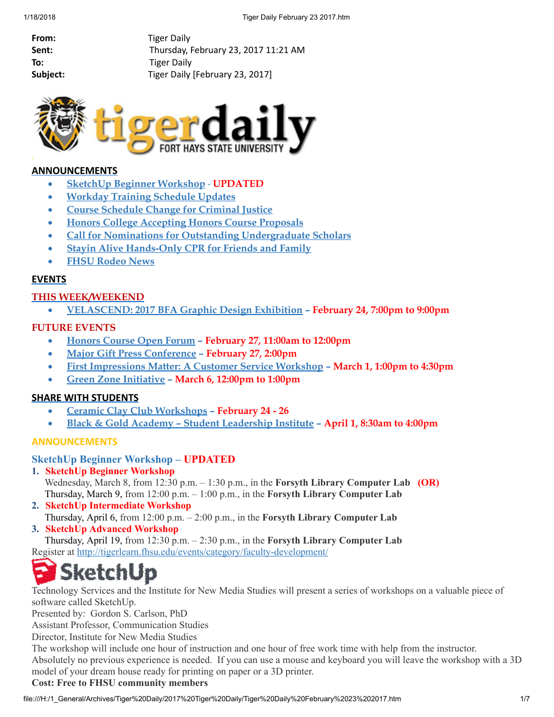| From:    |
|----------|
| Sent:    |
| To:      |
| Subject: |

**Tiger Daily** Thursday, February 23, 2017 11:21 AM **Tiger Daily** Tiger Daily [February 23, 2017]



#### ANNOUNCEMENTS

- · SketchUp Beginner [Workshop](#page-1-0) UPDATED
- · Workday Training [Schedule](#page-2-0) Updates
- · Course [Schedule](#page-3-0) Change for Criminal Justice
- · Honors College [Accepting](#page-3-1) Honors Course Proposals
- · Call for Nominations for Outstanding [Undergraduate](#page-3-2) Scholars
- **Stayin Alive [Hands-Only](#page-4-0) CPR for Friends and Family**
- · FHSU [Rodeo](#page-4-1) News

#### **EVENTS**

#### THIS WEEK/WEEKEND

· [VELASCEND:](#page-4-2) 2017 BFA Graphic Design Exhibition – February 24, 7:00pm to 9:00pm

#### FUTURE EVENTS

- · [Honors](#page-5-0) Course Open Forum February 27, 11:00am to 12:00pm
- Major Gift Press [Conference](#page-5-1) February 27, 2:00pm
- · First [Impressions](#page-5-2) Matter: A Customer Service Workshop March 1, 1:00pm to 4:30pm
- Green Zone [Initiative](#page-5-3) March 6, 12:00pm to 1:00pm

#### SHARE WITH STUDENTS

- · Ceramic Clay Club [Workshops](#page-6-0) February 24 26
- · Black & Gold Academy Student [Leadership](#page-7-0) Institute April 1, 8:30am to 4:00pm

#### ANNOUNCEMENTS

#### <span id="page-1-0"></span>SketchUp Beginner Workshop – UPDATED

1. SketchUp Beginner Workshop

Wednesday, March 8, from 12:30 p.m.  $-$  1:30 p.m., in the Forsyth Library Computer Lab (OR) Thursday, March 9, from  $12:00$  p.m.  $-1:00$  p.m., in the Forsyth Library Computer Lab

- 2. SketchUp Intermediate Workshop
- Thursday, April 6, from 12:00 p.m. 2:00 p.m., in the Forsyth Library Computer Lab
- 3. SketchUp Advanced Workshop

Thursday, April 19, from 12:30 p.m. – 2:30 p.m., in the Forsyth Library Computer Lab Register at <http://tigerlearn.fhsu.edu/events/category/faculty-development/>

# ketchUp

Technology Services and the Institute for New Media Studies will present a series of workshops on a valuable piece of software called SketchUp.

Presented by: Gordon S. Carlson, PhD

Assistant Professor, Communication Studies

Director, Institute for New Media Studies

The workshop will include one hour of instruction and one hour of free work time with help from the instructor. Absolutely no previous experience is needed. If you can use a mouse and keyboard you will leave the workshop with a 3D model of your dream house ready for printing on paper or a 3D printer.

#### Cost: Free to FHSU community members

file:///H:/1\_General/Archives/Tiger%20Daily/2017%20Tiger%20Daily/Tiger%20Daily%20February%2023%202017.htm 1/7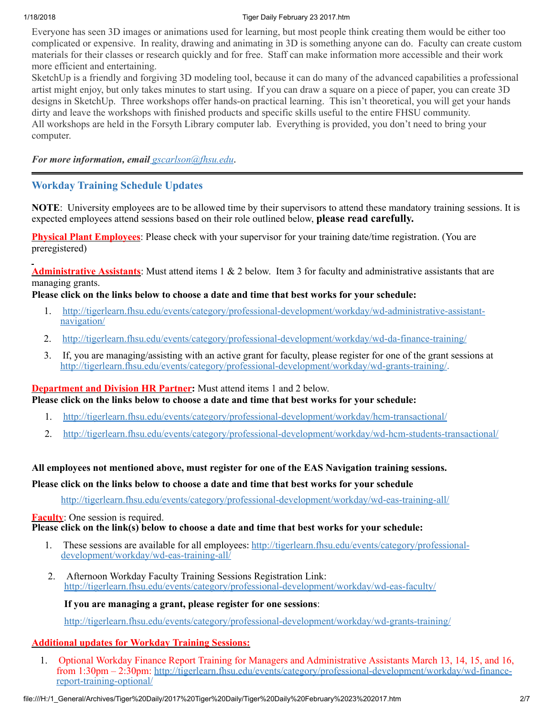#### 1/18/2018 Tiger Daily February 23 2017.htm

Everyone has seen 3D images or animations used for learning, but most people think creating them would be either too complicated or expensive. In reality, drawing and animating in 3D is something anyone can do. Faculty can create custom materials for their classes or research quickly and for free. Staff can make information more accessible and their work more efficient and entertaining.

SketchUp is a friendly and forgiving 3D modeling tool, because it can do many of the advanced capabilities a professional artist might enjoy, but only takes minutes to start using. If you can draw a square on a piece of paper, you can create 3D designs in SketchUp. Three workshops offer hands-on practical learning. This isn't theoretical, you will get your hands dirty and leave the workshops with finished products and specific skills useful to the entire FHSU community. All workshops are held in the Forsyth Library computer lab. Everything is provided, you don't need to bring your computer.

*For more information, email [gscarlson@fhsu.edu](mailto:gscarlson@fhsu.edu)*.

### <span id="page-2-0"></span>Workday Training Schedule Updates

NOTE: University employees are to be allowed time by their supervisors to attend these mandatory training sessions. It is expected employees attend sessions based on their role outlined below, please read carefully.

Physical Plant Employees: Please check with your supervisor for your training date/time registration. (You are preregistered)

Administrative Assistants: Must attend items 1 & 2 below. Item 3 for faculty and administrative assistants that are managing grants.

Please click on the links below to choose a date and time that best works for your schedule:

- 1. [http://tigerlearn.fhsu.edu/events/category/professional-development/workday/wd-administrative-assistant](http://tigerlearn.fhsu.edu/events/category/professional-development/workday/wd-administrative-assistant-navigation/)navigation/
- 2. <http://tigerlearn.fhsu.edu/events/category/professional-development/workday/wd-da-finance-training/>
- 3. If, you are managing/assisting with an active grant for faculty, please register for one of the grant sessions at <http://tigerlearn.fhsu.edu/events/category/professional-development/workday/wd-grants-training/>.

#### **Department and Division HR Partner:** Must attend items 1 and 2 below.

Please click on the links below to choose a date and time that best works for your schedule:

- 1. <http://tigerlearn.fhsu.edu/events/category/professional-development/workday/hcm-transactional/>
- 2. <http://tigerlearn.fhsu.edu/events/category/professional-development/workday/wd-hcm-students-transactional/>

#### All employees not mentioned above, must register for one of the EAS Navigation training sessions.

#### Please click on the links below to choose a date and time that best works for your schedule

<http://tigerlearn.fhsu.edu/events/category/professional-development/workday/wd-eas-training-all/>

#### **Faculty**: One session is required.

Please click on the link(s) below to choose a date and time that best works for your schedule:

- 1. These sessions are available for all employees: [http://tigerlearn.fhsu.edu/events/category/professional](http://tigerlearn.fhsu.edu/events/category/professional-development/workday/wd-eas-training-all/)development/workday/wd-eas-training-all/
- 2. Afternoon Workday Faculty Training Sessions Registration Link: <http://tigerlearn.fhsu.edu/events/category/professional-development/workday/wd-eas-faculty/>

#### If you are managing a grant, please register for one sessions:

<http://tigerlearn.fhsu.edu/events/category/professional-development/workday/wd-grants-training/>

#### Additional updates for Workday Training Sessions:

1. Optional Workday Finance Report Training for Managers and Administrative Assistants March 13, 14, 15, and 16, from 1:30pm – 2:30pm: [http://tigerlearn.fhsu.edu/events/category/professional-development/workday/wd-finance](http://tigerlearn.fhsu.edu/events/category/professional-development/workday/wd-finance-report-training-optional/)report-training-optional/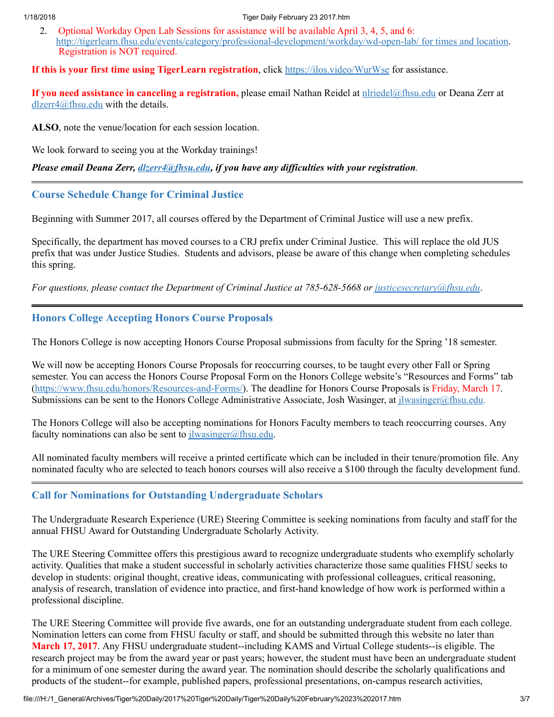2. Optional Workday Open Lab Sessions for assistance will be available April 3, 4, 5, and 6: [http://tigerlearn.fhsu.edu/events/category/professional-development/workday/wd-open-lab/](http://tigerlearn.fhsu.edu/events/category/professional-development/workday/wd-open-lab/%20for%20times%20and%20location) for times and location. Registration is NOT required.

#### If this is your first time using TigerLearn registration, click <https://ilos.video/WurWse> for assistance.

If you need assistance in canceling a registration, please email Nathan Reidel at [nlriedel@fhsu.edu](mailto:nlriedel@fhsu.edu) or Deana Zerr at [dlzerr4@fhsu.edu](mailto:dlzerr4@fhsu.edu) with the details.

ALSO, note the venue/location for each session location.

We look forward to seeing you at the Workday trainings!

#### *Please email Deana Zerr, [dlzerr4@fhsu.edu,](mailto:dlzerr4@fhsu.edu) if you have any dif iculties with your registration.*

#### <span id="page-3-0"></span>Course Schedule Change for Criminal Justice

Beginning with Summer 2017, all courses offered by the Department of Criminal Justice will use a new prefix.

Specifically, the department has moved courses to a CRJ prefix under Criminal Justice. This will replace the old JUS prefix that was under Justice Studies. Students and advisors, please be aware of this change when completing schedules this spring.

*For questions, please contact the Department of Criminal Justice at 785-628-5668 or [justicesecretary@fhsu.edu](mailto:justicesecretary@fhsu.edu)*.

#### <span id="page-3-1"></span>Honors College Accepting Honors Course Proposals

The Honors College is now accepting Honors Course Proposal submissions from faculty for the Spring '18 semester.

We will now be accepting Honors Course Proposals for reoccurring courses, to be taught every other Fall or Spring semester. You can access the Honors Course Proposal Form on the Honors College website's "Resources and Forms" tab (<https://www.fhsu.edu/honors/Resources-and-Forms/>). The deadline for Honors Course Proposals is Friday, March 17. Submissions can be sent to the Honors College Administrative Associate, Josh Wasinger, at  $\frac{1}{1}$ wasinger@fhsu.edu.

The Honors College will also be accepting nominations for Honors Faculty members to teach reoccurring courses. Any faculty nominations can also be sent to  $j$ lwasinger@fhsu.edu.

All nominated faculty members will receive a printed certificate which can be included in their tenure/promotion file. Any nominated faculty who are selected to teach honors courses will also receive a \$100 through the faculty development fund.

### <span id="page-3-2"></span>Call for Nominations for Outstanding Undergraduate Scholars

The Undergraduate Research Experience (URE) Steering Committee is seeking nominations from faculty and staff for the annual FHSU Award for Outstanding Undergraduate Scholarly Activity.

The URE Steering Committee offers this prestigious award to recognize undergraduate students who exemplify scholarly activity. Qualities that make a student successful in scholarly activities characterize those same qualities FHSU seeks to develop in students: original thought, creative ideas, communicating with professional colleagues, critical reasoning, analysis of research, translation of evidence into practice, and first-hand knowledge of how work is performed within a professional discipline.

The URE Steering Committee will provide five awards, one for an outstanding undergraduate student from each college. Nomination letters can come from FHSU faculty or staff, and should be submitted through this website no later than March 17, 2017. Any FHSU undergraduate student--including KAMS and Virtual College students--is eligible. The research project may be from the award year or past years; however, the student must have been an undergraduate student for a minimum of one semester during the award year. The nomination should describe the scholarly qualifications and products of the student--for example, published papers, professional presentations, on-campus research activities,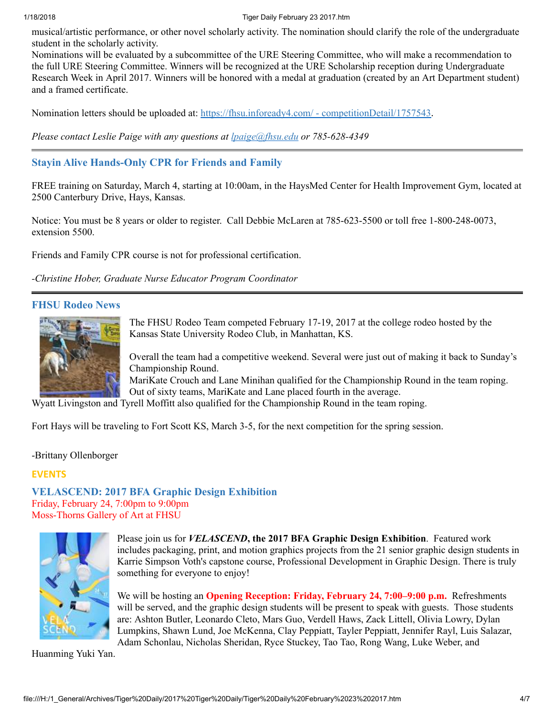#### 1/18/2018 Tiger Daily February 23 2017.htm

musical/artistic performance, or other novel scholarly activity. The nomination should clarify the role of the undergraduate student in the scholarly activity.

Nominations will be evaluated by a subcommittee of the URE Steering Committee, who will make a recommendation to the full URE Steering Committee. Winners will be recognized at the URE Scholarship reception during Undergraduate Research Week in April 2017. Winners will be honored with a medal at graduation (created by an Art Department student) and a framed certificate.

Nomination letters should be uploaded at: [https://fhsu.infoready4.com/](https://fhsu.infoready4.com/#competitionDetail/1757543) - competitionDetail/1757543.

*Please contact Leslie Paige with any questions at [lpaige@fhsu.edu](mailto:lpaige@fhsu.edu) or 785-628-4349*

### <span id="page-4-0"></span>Stayin Alive Hands-Only CPR for Friends and Family

FREE training on Saturday, March 4, starting at 10:00am, in the HaysMed Center for Health Improvement Gym, located at 2500 Canterbury Drive, Hays, Kansas.

Notice: You must be 8 years or older to register. Call Debbie McLaren at 785-623-5500 or toll free 1-800-248-0073, extension 5500.

Friends and Family CPR course is not for professional certification.

*-Christine Hober, Graduate Nurse Educator Program Coordinator*

#### <span id="page-4-1"></span>FHSU Rodeo News



The FHSU Rodeo Team competed February 17-19, 2017 at the college rodeo hosted by the Kansas State University Rodeo Club, in Manhattan, KS.

Overall the team had a competitive weekend. Several were just out of making it back to Sunday's Championship Round.

MariKate Crouch and Lane Minihan qualified for the Championship Round in the team roping. Out of sixty teams, MariKate and Lane placed fourth in the average.

Wyatt Livingston and Tyrell Moffitt also qualified for the Championship Round in the team roping.

Fort Hays will be traveling to Fort Scott KS, March 3-5, for the next competition for the spring session.

-Brittany Ollenborger

#### EVENTS

<span id="page-4-2"></span>VELASCEND: 2017 BFA Graphic Design Exhibition Friday, February 24, 7:00pm to 9:00pm Moss-Thorns Gallery of Art at FHSU



Please join us for *VELASCEND*, the 2017 BFA Graphic Design Exhibition. Featured work includes packaging, print, and motion graphics projects from the 21 senior graphic design students in Karrie Simpson Voth's capstone course, Professional Development in Graphic Design. There is truly something for everyone to enjoy!

We will be hosting an **Opening Reception: Friday, February 24, 7:00–9:00 p.m.** Refreshments will be served, and the graphic design students will be present to speak with guests. Those students are: Ashton Butler, Leonardo Cleto, Mars Guo, Verdell Haws, Zack Littell, Olivia Lowry, Dylan Lumpkins, Shawn Lund, Joe McKenna, Clay Peppiatt, Tayler Peppiatt, Jennifer Rayl, Luis Salazar, Adam Schonlau, Nicholas Sheridan, Ryce Stuckey, Tao Tao, Rong Wang, Luke Weber, and

Huanming Yuki Yan.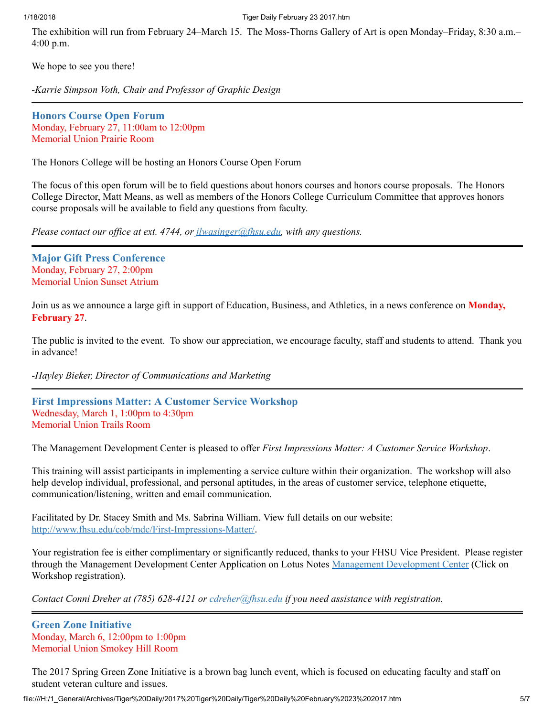The exhibition will run from February 24–March 15. The Moss-Thorns Gallery of Art is open Monday–Friday, 8:30 a.m.– 4:00 p.m.

We hope to see you there!

*-Karrie Simpson Voth, Chair and Professor of Graphic Design*

<span id="page-5-0"></span>Honors Course Open Forum Monday, February 27, 11:00am to 12:00pm Memorial Union Prairie Room

The Honors College will be hosting an Honors Course Open Forum

The focus of this open forum will be to field questions about honors courses and honors course proposals. The Honors College Director, Matt Means, as well as members of the Honors College Curriculum Committee that approves honors course proposals will be available to field any questions from faculty.

*Please contact our of ice at ext. 4744, or [jlwasinger@fhsu.edu](mailto:jlwasinger@fhsu.edu), with any questions.*

<span id="page-5-1"></span>Major Gift Press Conference Monday, February 27, 2:00pm Memorial Union Sunset Atrium

Join us as we announce a large gift in support of Education, Business, and Athletics, in a news conference on **Monday**, February 27.

The public is invited to the event. To show our appreciation, we encourage faculty, staff and students to attend. Thank you in advance!

-*Hayley Bieker, Director of Communications and Marketing*

<span id="page-5-2"></span>First Impressions Matter: A Customer Service Workshop Wednesday, March 1, 1:00pm to 4:30pm Memorial Union Trails Room

The Management Development Center is pleased to offer *First Impressions Matter: A Customer Service Workshop*.

This training will assist participants in implementing a service culture within their organization. The workshop will also help develop individual, professional, and personal aptitudes, in the areas of customer service, telephone etiquette, communication/listening, written and email communication.

Facilitated by Dr. Stacey Smith and Ms. Sabrina William. View full details on our website: <http://www.fhsu.edu/cob/mdc/First-Impressions-Matter/>.

Your registration fee is either complimentary or significantly reduced, thanks to your FHSU Vice President. Please register through the Management Development Center Application on Lotus Notes Management [Development](notes://LNapps/8625781F005E73FF) Center (Click on Workshop registration).

*Contact Conni Dreher at (785) 628-4121 or [cdreher@fhsu.edu](mailto:cdreher@fhsu.edu) if you need assistance with registration.*

<span id="page-5-3"></span>Green Zone Initiative Monday, March 6, 12:00pm to 1:00pm Memorial Union Smokey Hill Room

The 2017 Spring Green Zone Initiative is a brown bag lunch event, which is focused on educating faculty and staff on student veteran culture and issues.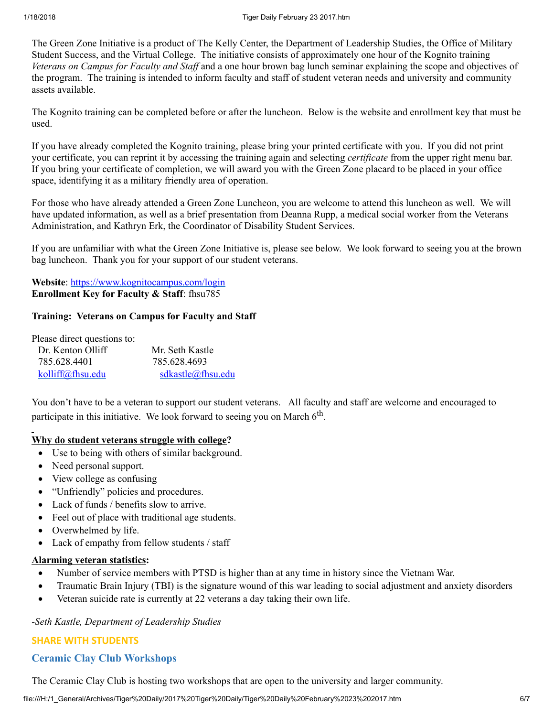The Green Zone Initiative is a product of The Kelly Center, the Department of Leadership Studies, the Office of Military Student Success, and the Virtual College. The initiative consists of approximately one hour of the Kognito training *Veterans on Campus for Faculty and Staf* and a one hour brown bag lunch seminar explaining the scope and objectives of the program. The training is intended to inform faculty and staff of student veteran needs and university and community assets available.

The Kognito training can be completed before or after the luncheon. Below is the website and enrollment key that must be used.

If you have already completed the Kognito training, please bring your printed certificate with you. If you did not print your certificate, you can reprint it by accessing the training again and selecting *certificate* from the upper right menu bar. If you bring your certificate of completion, we will award you with the Green Zone placard to be placed in your office space, identifying it as a military friendly area of operation.

For those who have already attended a Green Zone Luncheon, you are welcome to attend this luncheon as well. We will have updated information, as well as a brief presentation from Deanna Rupp, a medical social worker from the Veterans Administration, and Kathryn Erk, the Coordinator of Disability Student Services.

If you are unfamiliar with what the Green Zone Initiative is, please see below. We look forward to seeing you at the brown bag luncheon. Thank you for your support of our student veterans.

Website: <https://www.kognitocampus.com/login> Enrollment Key for Faculty & Staff: fhsu785

#### Training: Veterans on Campus for Faculty and Staff

| Please direct questions to: |                   |
|-----------------------------|-------------------|
| Dr. Kenton Olliff           | Mr. Seth Kastle   |
| 785.628.4401                | 785.628.4693      |
| kolliff@fhsu.edu            | sdkastle@fhsu.edu |

You don't have to be a veteran to support our student veterans. All faculty and staff are welcome and encouraged to participate in this initiative. We look forward to seeing you on March  $6<sup>th</sup>$ .

#### Why do student veterans struggle with college?

- · Use to being with others of similar background.
- Need personal support.
- View college as confusing
- · "Unfriendly" policies and procedures.
- Lack of funds / benefits slow to arrive.
- · Feel out of place with traditional age students.
- Overwhelmed by life.
- Lack of empathy from fellow students / staff

#### Alarming veteran statistics:

- Number of service members with PTSD is higher than at any time in history since the Vietnam War.
- · Traumatic Brain Injury (TBI) is the signature wound of this war leading to social adjustment and anxiety disorders
- · Veteran suicide rate is currently at 22 veterans a day taking their own life.

#### *-Seth Kastle, Department of Leadership Studies*

#### SHARE WITH STUDENTS

#### <span id="page-6-0"></span>Ceramic Clay Club Workshops

The Ceramic Clay Club is hosting two workshops that are open to the university and larger community.